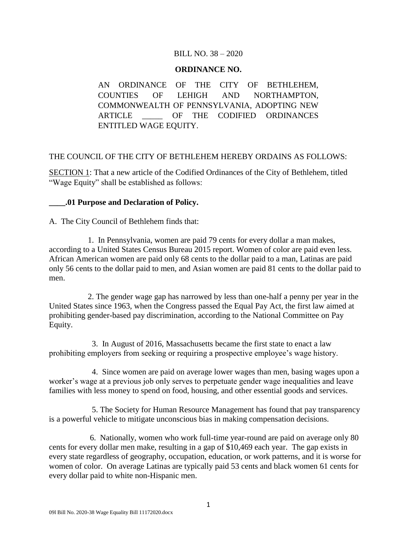### BILL NO. 38 – 2020

#### **ORDINANCE NO.**

AN ORDINANCE OF THE CITY OF BETHLEHEM, COUNTIES OF LEHIGH AND NORTHAMPTON, COMMONWEALTH OF PENNSYLVANIA, ADOPTING NEW ARTICLE \_\_\_\_\_ OF THE CODIFIED ORDINANCES ENTITLED WAGE EQUITY.

### THE COUNCIL OF THE CITY OF BETHLEHEM HEREBY ORDAINS AS FOLLOWS:

SECTION 1: That a new article of the Codified Ordinances of the City of Bethlehem, titled "Wage Equity" shall be established as follows:

### **\_\_\_\_.01 Purpose and Declaration of Policy.**

A. The City Council of Bethlehem finds that:

 1. In Pennsylvania, women are paid 79 cents for every dollar a man makes, according to a United States Census Bureau 2015 report. Women of color are paid even less. African American women are paid only 68 cents to the dollar paid to a man, Latinas are paid only 56 cents to the dollar paid to men, and Asian women are paid 81 cents to the dollar paid to men.

 2. The gender wage gap has narrowed by less than one-half a penny per year in the United States since 1963, when the Congress passed the Equal Pay Act, the first law aimed at prohibiting gender-based pay discrimination, according to the National Committee on Pay Equity.

 3. In August of 2016, Massachusetts became the first state to enact a law prohibiting employers from seeking or requiring a prospective employee's wage history.

 4. Since women are paid on average lower wages than men, basing wages upon a worker's wage at a previous job only serves to perpetuate gender wage inequalities and leave families with less money to spend on food, housing, and other essential goods and services.

 5. The Society for Human Resource Management has found that pay transparency is a powerful vehicle to mitigate unconscious bias in making compensation decisions.

 6. Nationally, women who work full-time year-round are paid on average only 80 cents for every dollar men make, resulting in a gap of \$10,469 each year. The gap exists in every state regardless of geography, occupation, education, or work patterns, and it is worse for women of color. On average Latinas are typically paid 53 cents and black women 61 cents for every dollar paid to white non-Hispanic men.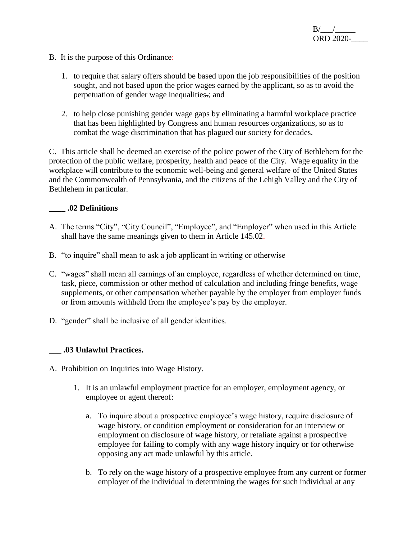- B. It is the purpose of this Ordinance:
	- 1. to require that salary offers should be based upon the job responsibilities of the position sought, and not based upon the prior wages earned by the applicant, so as to avoid the perpetuation of gender wage inequalities.; and
	- 2. to help close punishing gender wage gaps by eliminating a harmful workplace practice that has been highlighted by Congress and human resources organizations, so as to combat the wage discrimination that has plagued our society for decades.

C. This article shall be deemed an exercise of the police power of the City of Bethlehem for the protection of the public welfare, prosperity, health and peace of the City. Wage equality in the workplace will contribute to the economic well-being and general welfare of the United States and the Commonwealth of Pennsylvania, and the citizens of the Lehigh Valley and the City of Bethlehem in particular.

### **\_\_\_\_ .02 Definitions**

- A. The terms "City", "City Council", "Employee", and "Employer" when used in this Article shall have the same meanings given to them in Article 145.02.
- B. "to inquire" shall mean to ask a job applicant in writing or otherwise
- C. "wages" shall mean all earnings of an employee, regardless of whether determined on time, task, piece, commission or other method of calculation and including fringe benefits, wage supplements, or other compensation whether payable by the employer from employer funds or from amounts withheld from the employee's pay by the employer.
- D. "gender" shall be inclusive of all gender identities.

# **\_\_\_ .03 Unlawful Practices.**

- A. Prohibition on Inquiries into Wage History.
	- 1. It is an unlawful employment practice for an employer, employment agency, or employee or agent thereof:
		- a. To inquire about a prospective employee's wage history, require disclosure of wage history, or condition employment or consideration for an interview or employment on disclosure of wage history, or retaliate against a prospective employee for failing to comply with any wage history inquiry or for otherwise opposing any act made unlawful by this article.
		- b. To rely on the wage history of a prospective employee from any current or former employer of the individual in determining the wages for such individual at any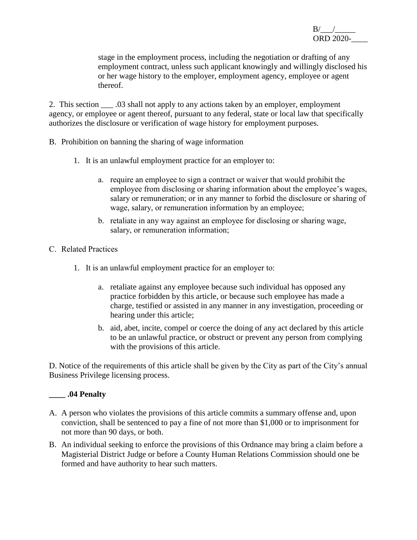stage in the employment process, including the negotiation or drafting of any employment contract, unless such applicant knowingly and willingly disclosed his or her wage history to the employer, employment agency, employee or agent thereof.

2. This section \_\_\_ .03 shall not apply to any actions taken by an employer, employment agency, or employee or agent thereof, pursuant to any federal, state or local law that specifically authorizes the disclosure or verification of wage history for employment purposes.

- B. Prohibition on banning the sharing of wage information
	- 1. It is an unlawful employment practice for an employer to:
		- a. require an employee to sign a contract or waiver that would prohibit the employee from disclosing or sharing information about the employee's wages, salary or remuneration; or in any manner to forbid the disclosure or sharing of wage, salary, or remuneration information by an employee;
		- b. retaliate in any way against an employee for disclosing or sharing wage, salary, or remuneration information;
- C. Related Practices
	- 1. It is an unlawful employment practice for an employer to:
		- a. retaliate against any employee because such individual has opposed any practice forbidden by this article, or because such employee has made a charge, testified or assisted in any manner in any investigation, proceeding or hearing under this article;
		- b. aid, abet, incite, compel or coerce the doing of any act declared by this article to be an unlawful practice, or obstruct or prevent any person from complying with the provisions of this article.

D. Notice of the requirements of this article shall be given by the City as part of the City's annual Business Privilege licensing process.

# **\_\_\_\_ .04 Penalty**

- A. A person who violates the provisions of this article commits a summary offense and, upon conviction, shall be sentenced to pay a fine of not more than \$1,000 or to imprisonment for not more than 90 days, or both.
- B. An individual seeking to enforce the provisions of this Ordnance may bring a claim before a Magisterial District Judge or before a County Human Relations Commission should one be formed and have authority to hear such matters.